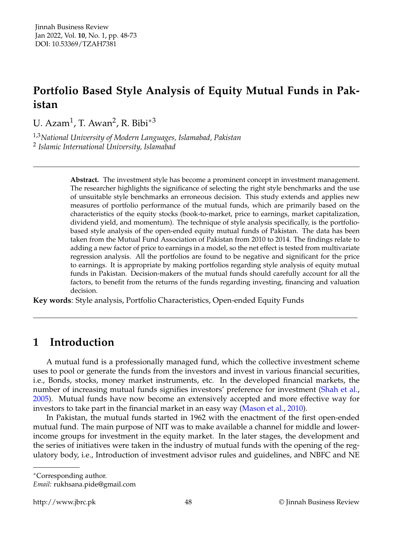# **Portfolio Based Style Analysis of Equity Mutual Funds in Pakistan**

U. Azam<sup>1</sup>, T. Awan<sup>2</sup>, R. Bibi<sup>\*3</sup>

1,3*National University of Modern Languages, Islamabad, Pakistan* 2 *Islamic International University, Islamabad*

> **Abstract.** The investment style has become a prominent concept in investment management. The researcher highlights the significance of selecting the right style benchmarks and the use of unsuitable style benchmarks an erroneous decision. This study extends and applies new measures of portfolio performance of the mutual funds, which are primarily based on the characteristics of the equity stocks (book-to-market, price to earnings, market capitalization, dividend yield, and momentum). The technique of style analysis specifically, is the portfoliobased style analysis of the open-ended equity mutual funds of Pakistan. The data has been taken from the Mutual Fund Association of Pakistan from 2010 to 2014. The findings relate to adding a new factor of price to earnings in a model, so the net effect is tested from multivariate regression analysis. All the portfolios are found to be negative and significant for the price to earnings. It is appropriate by making portfolios regarding style analysis of equity mutual funds in Pakistan. Decision-makers of the mutual funds should carefully account for all the factors, to benefit from the returns of the funds regarding investing, financing and valuation decision.

**Key words**: Style analysis, Portfolio Characteristics, Open-ended Equity Funds

## **1 Introduction**

A mutual fund is a professionally managed fund, which the collective investment scheme uses to pool or generate the funds from the investors and invest in various financial securities, i.e., Bonds, stocks, money market instruments, etc. In the developed financial markets, the number of increasing mutual funds signifies investors' preference for investment [\(Shah et al.,](#page-18-0) [2005\)](#page-18-0). Mutual funds have now become an extensively accepted and more effective way for investors to take part in the financial market in an easy way [\(Mason et al.,](#page-18-1) [2010\)](#page-18-1).

In Pakistan, the mutual funds started in 1962 with the enactment of the first open-ended mutual fund. The main purpose of NIT was to make available a channel for middle and lowerincome groups for investment in the equity market. In the later stages, the development and the series of initiatives were taken in the industry of mutual funds with the opening of the regulatory body, i.e., Introduction of investment advisor rules and guidelines, and NBFC and NE

<sup>∗</sup>Corresponding author.

*Email:* rukhsana.pide@gmail.com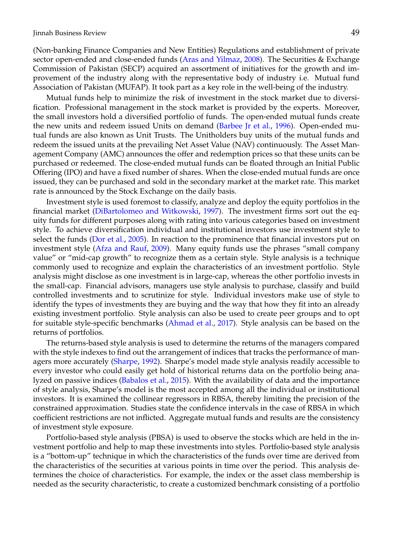(Non-banking Finance Companies and New Entities) Regulations and establishment of private sector open-ended and close-ended funds [\(Aras and Yilmaz,](#page-16-0) [2008\)](#page-16-0). The Securities & Exchange Commission of Pakistan (SECP) acquired an assortment of initiatives for the growth and improvement of the industry along with the representative body of industry i.e. Mutual fund Association of Pakistan (MUFAP). It took part as a key role in the well-being of the industry.

Mutual funds help to minimize the risk of investment in the stock market due to diversification. Professional management in the stock market is provided by the experts. Moreover, the small investors hold a diversified portfolio of funds. The open-ended mutual funds create the new units and redeem issued Units on demand [\(Barbee Jr et al.,](#page-17-0) [1996\)](#page-17-0). Open-ended mutual funds are also known as Unit Trusts. The Unitholders buy units of the mutual funds and redeem the issued units at the prevailing Net Asset Value (NAV) continuously. The Asset Management Company (AMC) announces the offer and redemption prices so that these units can be purchased or redeemed. The close-ended mutual funds can be floated through an Initial Public Offering (IPO) and have a fixed number of shares. When the close-ended mutual funds are once issued, they can be purchased and sold in the secondary market at the market rate. This market rate is announced by the Stock Exchange on the daily basis.

Investment style is used foremost to classify, analyze and deploy the equity portfolios in the financial market [\(DiBartolomeo and Witkowski,](#page-17-1) [1997\)](#page-17-1). The investment firms sort out the equity funds for different purposes along with rating into various categories based on investment style. To achieve diversification individual and institutional investors use investment style to select the funds [\(Dor et al.,](#page-17-2) [2005\)](#page-17-2). In reaction to the prominence that financial investors put on investment style [\(Afza and Rauf,](#page-16-1) [2009\)](#page-16-1). Many equity funds use the phrases "small company value" or "mid-cap growth" to recognize them as a certain style. Style analysis is a technique commonly used to recognize and explain the characteristics of an investment portfolio. Style analysis might disclose as one investment is in large-cap, whereas the other portfolio invests in the small-cap. Financial advisors, managers use style analysis to purchase, classify and build controlled investments and to scrutinize for style. Individual investors make use of style to identify the types of investments they are buying and the way that how they fit into an already existing investment portfolio. Style analysis can also be used to create peer groups and to opt for suitable style-specific benchmarks [\(Ahmad et al.,](#page-16-2) [2017\)](#page-16-2). Style analysis can be based on the returns of portfolios.

The returns-based style analysis is used to determine the returns of the managers compared with the style indexes to find out the arrangement of indices that tracks the performance of man-agers more accurately [\(Sharpe,](#page-18-2) [1992\)](#page-18-2). Sharpe's model made style analysis readily accessible to every investor who could easily get hold of historical returns data on the portfolio being analyzed on passive indices [\(Babalos et al.,](#page-17-3) [2015\)](#page-17-3). With the availability of data and the importance of style analysis, Sharpe's model is the most accepted among all the individual or institutional investors. It is examined the collinear regressors in RBSA, thereby limiting the precision of the constrained approximation. Studies state the confidence intervals in the case of RBSA in which coefficient restrictions are not inflicted. Aggregate mutual funds and results are the consistency of investment style exposure.

Portfolio-based style analysis (PBSA) is used to observe the stocks which are held in the investment portfolio and help to map these investments into styles. Portfolio-based style analysis is a "bottom-up" technique in which the characteristics of the funds over time are derived from the characteristics of the securities at various points in time over the period. This analysis determines the choice of characteristics. For example, the index or the asset class membership is needed as the security characteristic, to create a customized benchmark consisting of a portfolio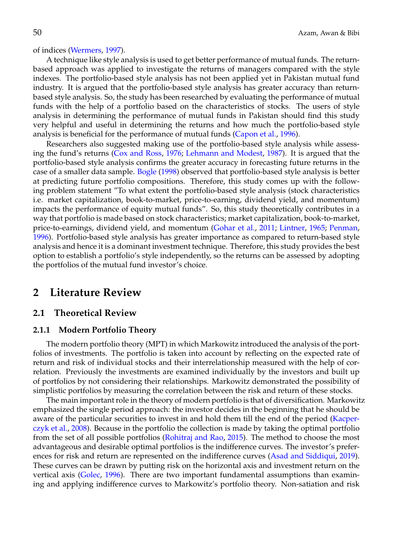of indices [\(Wermers,](#page-19-0) [1997\)](#page-19-0).

A technique like style analysis is used to get better performance of mutual funds. The returnbased approach was applied to investigate the returns of managers compared with the style indexes. The portfolio-based style analysis has not been applied yet in Pakistan mutual fund industry. It is argued that the portfolio-based style analysis has greater accuracy than returnbased style analysis. So, the study has been researched by evaluating the performance of mutual funds with the help of a portfolio based on the characteristics of stocks. The users of style analysis in determining the performance of mutual funds in Pakistan should find this study very helpful and useful in determining the returns and how much the portfolio-based style analysis is beneficial for the performance of mutual funds [\(Capon et al.,](#page-17-4) [1996\)](#page-17-4).

Researchers also suggested making use of the portfolio-based style analysis while assessing the fund's returns [\(Cox and Ross,](#page-17-5) [1976;](#page-17-5) [Lehmann and Modest,](#page-18-3) [1987\)](#page-18-3). It is argued that the portfolio-based style analysis confirms the greater accuracy in forecasting future returns in the case of a smaller data sample. [Bogle](#page-17-6) [\(1998\)](#page-17-6) observed that portfolio-based style analysis is better at predicting future portfolio compositions. Therefore, this study comes up with the following problem statement "To what extent the portfolio-based style analysis (stock characteristics i.e. market capitalization, book-to-market, price-to-earning, dividend yield, and momentum) impacts the performance of equity mutual funds". So, this study theoretically contributes in a way that portfolio is made based on stock characteristics; market capitalization, book-to-market, price-to-earnings, dividend yield, and momentum [\(Gohar et al.,](#page-17-7) [2011;](#page-17-7) [Lintner,](#page-18-4) [1965;](#page-18-4) [Penman,](#page-18-5) [1996\)](#page-18-5). Portfolio-based style analysis has greater importance as compared to return-based style analysis and hence it is a dominant investment technique. Therefore, this study provides the best option to establish a portfolio's style independently, so the returns can be assessed by adopting the portfolios of the mutual fund investor's choice.

## **2 Literature Review**

#### **2.1 Theoretical Review**

#### **2.1.1 Modern Portfolio Theory**

The modern portfolio theory (MPT) in which Markowitz introduced the analysis of the portfolios of investments. The portfolio is taken into account by reflecting on the expected rate of return and risk of individual stocks and their interrelationship measured with the help of correlation. Previously the investments are examined individually by the investors and built up of portfolios by not considering their relationships. Markowitz demonstrated the possibility of simplistic portfolios by measuring the correlation between the risk and return of these stocks.

The main important role in the theory of modern portfolio is that of diversification. Markowitz emphasized the single period approach: the investor decides in the beginning that he should be aware of the particular securities to invest in and hold them till the end of the period [\(Kacper](#page-18-6)[czyk et al.,](#page-18-6) [2008\)](#page-18-6). Because in the portfolio the collection is made by taking the optimal portfolio from the set of all possible portfolios [\(Rohitraj and Rao,](#page-18-7) [2015\)](#page-18-7). The method to choose the most advantageous and desirable optimal portfolios is the indifference curves. The investor's preferences for risk and return are represented on the indifference curves [\(Asad and Siddiqui,](#page-16-3) [2019\)](#page-16-3). These curves can be drawn by putting risk on the horizontal axis and investment return on the vertical axis [\(Golec,](#page-17-8) [1996\)](#page-17-8). There are two important fundamental assumptions than examining and applying indifference curves to Markowitz's portfolio theory. Non-satiation and risk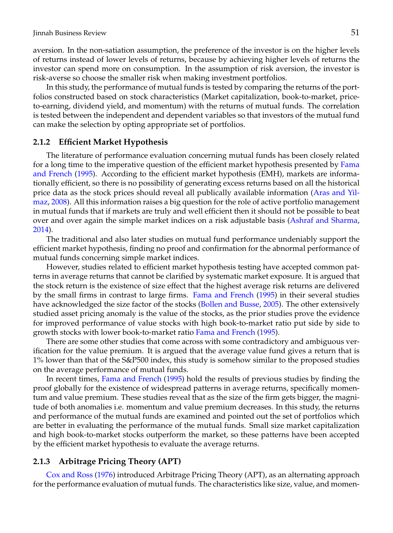aversion. In the non-satiation assumption, the preference of the investor is on the higher levels of returns instead of lower levels of returns, because by achieving higher levels of returns the investor can spend more on consumption. In the assumption of risk aversion, the investor is risk-averse so choose the smaller risk when making investment portfolios.

In this study, the performance of mutual funds is tested by comparing the returns of the portfolios constructed based on stock characteristics (Market capitalization, book-to-market, priceto-earning, dividend yield, and momentum) with the returns of mutual funds. The correlation is tested between the independent and dependent variables so that investors of the mutual fund can make the selection by opting appropriate set of portfolios.

#### **2.1.2 Efficient Market Hypothesis**

The literature of performance evaluation concerning mutual funds has been closely related for a long time to the imperative question of the efficient market hypothesis presented by [Fama](#page-17-9) [and French](#page-17-9) [\(1995\)](#page-17-9). According to the efficient market hypothesis (EMH), markets are informationally efficient, so there is no possibility of generating excess returns based on all the historical price data as the stock prices should reveal all publically available information [\(Aras and Yil](#page-16-0)[maz,](#page-16-0) [2008\)](#page-16-0). All this information raises a big question for the role of active portfolio management in mutual funds that if markets are truly and well efficient then it should not be possible to beat over and over again the simple market indices on a risk adjustable basis [\(Ashraf and Sharma,](#page-17-10) [2014\)](#page-17-10).

The traditional and also later studies on mutual fund performance undeniably support the efficient market hypothesis, finding no proof and confirmation for the abnormal performance of mutual funds concerning simple market indices.

However, studies related to efficient market hypothesis testing have accepted common patterns in average returns that cannot be clarified by systematic market exposure. It is argued that the stock return is the existence of size effect that the highest average risk returns are delivered by the small firms in contrast to large firms. [Fama and French](#page-17-9) [\(1995\)](#page-17-9) in their several studies have acknowledged the size factor of the stocks [\(Bollen and Busse,](#page-17-11) [2005\)](#page-17-11). The other extensively studied asset pricing anomaly is the value of the stocks, as the prior studies prove the evidence for improved performance of value stocks with high book-to-market ratio put side by side to growth stocks with lower book-to-market ratio [Fama and French](#page-17-9) [\(1995\)](#page-17-9).

There are some other studies that come across with some contradictory and ambiguous verification for the value premium. It is argued that the average value fund gives a return that is 1% lower than that of the S&P500 index, this study is somehow similar to the proposed studies on the average performance of mutual funds.

In recent times, [Fama and French](#page-17-9) [\(1995\)](#page-17-9) hold the results of previous studies by finding the proof globally for the existence of widespread patterns in average returns, specifically momentum and value premium. These studies reveal that as the size of the firm gets bigger, the magnitude of both anomalies i.e. momentum and value premium decreases. In this study, the returns and performance of the mutual funds are examined and pointed out the set of portfolios which are better in evaluating the performance of the mutual funds. Small size market capitalization and high book-to-market stocks outperform the market, so these patterns have been accepted by the efficient market hypothesis to evaluate the average returns.

#### **2.1.3 Arbitrage Pricing Theory (APT)**

[Cox and Ross](#page-17-5) [\(1976\)](#page-17-5) introduced Arbitrage Pricing Theory (APT), as an alternating approach for the performance evaluation of mutual funds. The characteristics like size, value, and momen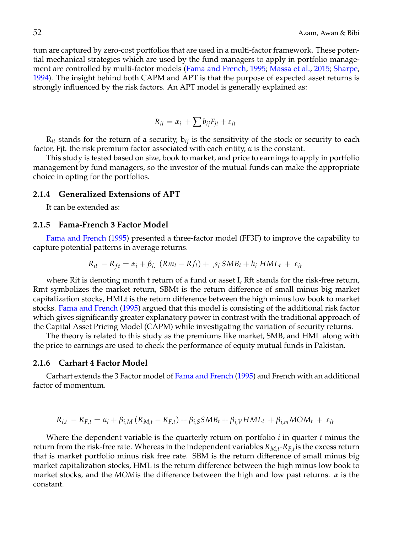tum are captured by zero-cost portfolios that are used in a multi-factor framework. These potential mechanical strategies which are used by the fund managers to apply in portfolio management are controlled by multi-factor models [\(Fama and French,](#page-17-9) [1995;](#page-17-9) [Massa et al.,](#page-18-8) [2015;](#page-18-8) [Sharpe,](#page-18-9) [1994\)](#page-18-9). The insight behind both CAPM and APT is that the purpose of expected asset returns is strongly influenced by the risk factors. An APT model is generally explained as:

$$
R_{it} = \alpha_i + \sum b_{ij} F_{jt} + \varepsilon_{it}
$$

 $R_{it}$  stands for the return of a security,  $b_{ij}$  is the sensitivity of the stock or security to each factor, Fjt. the risk premium factor associated with each entity, *α* is the constant.

This study is tested based on size, book to market, and price to earnings to apply in portfolio management by fund managers, so the investor of the mutual funds can make the appropriate choice in opting for the portfolios.

#### **2.1.4 Generalized Extensions of APT**

It can be extended as:

#### **2.1.5 Fama-French 3 Factor Model**

[Fama and French](#page-17-9) [\(1995\)](#page-17-9) presented a three-factor model (FF3F) to improve the capability to capture potential patterns in average returns.

$$
R_{it} - R_{ft} = \alpha_i + \beta_i \left(Rm_t - Rf_t\right) + \beta_i \, SMB_t + h_i \, HML_t + \varepsilon_{it}
$$

where Rit is denoting month t return of a fund or asset I, Rft stands for the risk-free return, Rmt symbolizes the market return, SBMt is the return difference of small minus big market capitalization stocks, HMLt is the return difference between the high minus low book to market stocks. [Fama and French](#page-17-9) [\(1995\)](#page-17-9) argued that this model is consisting of the additional risk factor which gives significantly greater explanatory power in contrast with the traditional approach of the Capital Asset Pricing Model (CAPM) while investigating the variation of security returns.

The theory is related to this study as the premiums like market, SMB, and HML along with the price to earnings are used to check the performance of equity mutual funds in Pakistan.

#### **2.1.6 Carhart 4 Factor Model**

Carhart extends the 3 Factor model of [Fama and French](#page-17-9) [\(1995\)](#page-17-9) and French with an additional factor of momentum.

$$
R_{i,t} - R_{F,t} = \alpha_i + \beta_{i,M} (R_{M,t} - R_{F,t}) + \beta_{i,S} SMB_t + \beta_{i,V} HML_t + \beta_{i,m} MOM_t + \varepsilon_{it}
$$

Where the dependent variable is the quarterly return on portfolio *i* in quarter *t* minus the return from the risk-free rate. Whereas in the independent variables *RM*,*<sup>t</sup> -RF*,*<sup>t</sup>* is the excess return that is market portfolio minus risk free rate. SBM is the return difference of small minus big market capitalization stocks, HML is the return difference between the high minus low book to market stocks, and the *MOM*is the difference between the high and low past returns. *α* is the constant.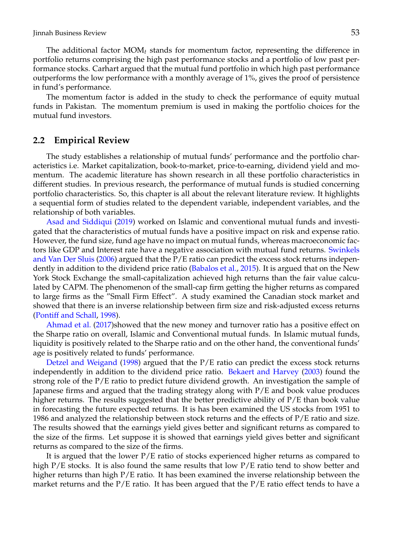The additional factor  $MOM_t$  stands for momentum factor, representing the difference in portfolio returns comprising the high past performance stocks and a portfolio of low past performance stocks. Carhart argued that the mutual fund portfolio in which high past performance outperforms the low performance with a monthly average of 1%, gives the proof of persistence in fund's performance.

The momentum factor is added in the study to check the performance of equity mutual funds in Pakistan. The momentum premium is used in making the portfolio choices for the mutual fund investors.

#### **2.2 Empirical Review**

The study establishes a relationship of mutual funds' performance and the portfolio characteristics i.e. Market capitalization, book-to-market, price-to-earning, dividend yield and momentum. The academic literature has shown research in all these portfolio characteristics in different studies. In previous research, the performance of mutual funds is studied concerning portfolio characteristics. So, this chapter is all about the relevant literature review. It highlights a sequential form of studies related to the dependent variable, independent variables, and the relationship of both variables.

[Asad and Siddiqui](#page-16-3) [\(2019\)](#page-16-3) worked on Islamic and conventional mutual funds and investigated that the characteristics of mutual funds have a positive impact on risk and expense ratio. However, the fund size, fund age have no impact on mutual funds, whereas macroeconomic factors like GDP and Interest rate have a negative association with mutual fund returns. [Swinkels](#page-19-1) [and Van Der Sluis](#page-19-1) [\(2006\)](#page-19-1) argued that the P/E ratio can predict the excess stock returns independently in addition to the dividend price ratio [\(Babalos et al.,](#page-17-3) [2015\)](#page-17-3). It is argued that on the New York Stock Exchange the small-capitalization achieved high returns than the fair value calculated by CAPM. The phenomenon of the small-cap firm getting the higher returns as compared to large firms as the "Small Firm Effect". A study examined the Canadian stock market and showed that there is an inverse relationship between firm size and risk-adjusted excess returns [\(Pontiff and Schall,](#page-18-10) [1998\)](#page-18-10).

[Ahmad et al.](#page-16-2) [\(2017\)](#page-16-2)showed that the new money and turnover ratio has a positive effect on the Sharpe ratio on overall, Islamic and Conventional mutual funds. In Islamic mutual funds, liquidity is positively related to the Sharpe ratio and on the other hand, the conventional funds' age is positively related to funds' performance.

[Detzel and Weigand](#page-17-12) [\(1998\)](#page-17-12) argued that the P/E ratio can predict the excess stock returns independently in addition to the dividend price ratio. [Bekaert and Harvey](#page-17-13) [\(2003\)](#page-17-13) found the strong role of the P/E ratio to predict future dividend growth. An investigation the sample of Japanese firms and argued that the trading strategy along with P/E and book value produces higher returns. The results suggested that the better predictive ability of P/E than book value in forecasting the future expected returns. It is has been examined the US stocks from 1951 to 1986 and analyzed the relationship between stock returns and the effects of  $P/E$  ratio and size. The results showed that the earnings yield gives better and significant returns as compared to the size of the firms. Let suppose it is showed that earnings yield gives better and significant returns as compared to the size of the firms.

It is argued that the lower P/E ratio of stocks experienced higher returns as compared to high P/E stocks. It is also found the same results that low P/E ratio tend to show better and higher returns than high  $P/E$  ratio. It has been examined the inverse relationship between the market returns and the  $P/E$  ratio. It has been argued that the  $P/E$  ratio effect tends to have a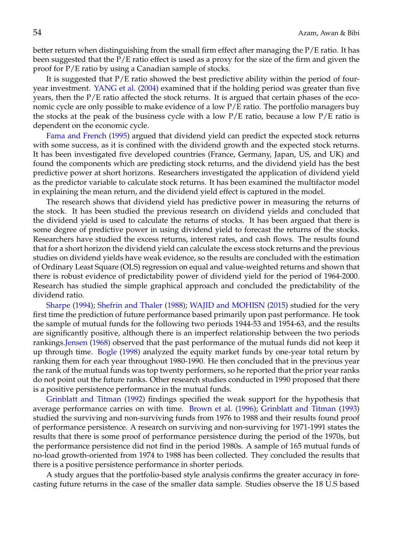better return when distinguishing from the small firm effect after managing the P/E ratio. It has been suggested that the P/E ratio effect is used as a proxy for the size of the firm and given the proof for P/E ratio by using a Canadian sample of stocks.

It is suggested that P/E ratio showed the best predictive ability within the period of fouryear investment. [YANG et al.](#page-19-2) [\(2004\)](#page-19-2) examined that if the holding period was greater than five years, then the  $P/E$  ratio affected the stock returns. It is argued that certain phases of the economic cycle are only possible to make evidence of a low P/E ratio. The portfolio managers buy the stocks at the peak of the business cycle with a low  $P/E$  ratio, because a low  $P/E$  ratio is dependent on the economic cycle.

[Fama and French](#page-17-9) [\(1995\)](#page-17-9) argued that dividend yield can predict the expected stock returns with some success, as it is confined with the dividend growth and the expected stock returns. It has been investigated five developed countries (France, Germany, Japan, US, and UK) and found the components which are predicting stock returns, and the dividend yield has the best predictive power at short horizons. Researchers investigated the application of dividend yield as the predictor variable to calculate stock returns. It has been examined the multifactor model in explaining the mean return, and the dividend yield effect is captured in the model.

The research shows that dividend yield has predictive power in measuring the returns of the stock. It has been studied the previous research on dividend yields and concluded that the dividend yield is used to calculate the returns of stocks. It has been argued that there is some degree of predictive power in using dividend yield to forecast the returns of the stocks. Researchers have studied the excess returns, interest rates, and cash flows. The results found that for a short horizon the dividend yield can calculate the excess stock returns and the previous studies on dividend yields have weak evidence, so the results are concluded with the estimation of Ordinary Least Square (OLS) regression on equal and value-weighted returns and shown that there is robust evidence of predictability power of dividend yield for the period of 1964-2000. Research has studied the simple graphical approach and concluded the predictability of the dividend ratio.

[Sharpe](#page-18-9) [\(1994\)](#page-18-9); [Shefrin and Thaler](#page-18-11) [\(1988\)](#page-18-11); [WAJID and MOHISN](#page-19-3) [\(2015\)](#page-19-3) studied for the very first time the prediction of future performance based primarily upon past performance. He took the sample of mutual funds for the following two periods 1944-53 and 1954-63, and the results are significantly positive, although there is an imperfect relationship between the two periods rankings[.Jensen](#page-18-12) [\(1968\)](#page-18-12) observed that the past performance of the mutual funds did not keep it up through time. [Bogle](#page-17-6) [\(1998\)](#page-17-6) analyzed the equity market funds by one-year total return by ranking them for each year throughout 1980-1990. He then concluded that in the previous year the rank of the mutual funds was top twenty performers, so he reported that the prior year ranks do not point out the future ranks. Other research studies conducted in 1990 proposed that there is a positive persistence performance in the mutual funds.

[Grinblatt and Titman](#page-18-13) [\(1992\)](#page-18-13) findings specified the weak support for the hypothesis that average performance carries on with time. [Brown et al.](#page-17-14) [\(1996\)](#page-17-14); [Grinblatt and Titman](#page-18-14) [\(1993\)](#page-18-14) studied the surviving and non-surviving funds from 1976 to 1988 and their results found proof of performance persistence. A research on surviving and non-surviving for 1971-1991 states the results that there is some proof of performance persistence during the period of the 1970s, but the performance persistence did not find in the period 1980s. A sample of 165 mutual funds of no-load growth-oriented from 1974 to 1988 has been collected. They concluded the results that there is a positive persistence performance in shorter periods.

A study argues that the portfolio-based style analysis confirms the greater accuracy in forecasting future returns in the case of the smaller data sample. Studies observe the 18 U.S based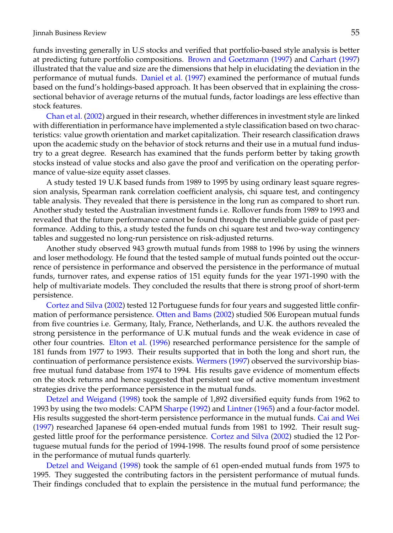funds investing generally in U.S stocks and verified that portfolio-based style analysis is better at predicting future portfolio compositions. [Brown and Goetzmann](#page-17-15) [\(1997\)](#page-17-15) and [Carhart](#page-17-16) [\(1997\)](#page-17-16) illustrated that the value and size are the dimensions that help in elucidating the deviation in the performance of mutual funds. [Daniel et al.](#page-17-17) [\(1997\)](#page-17-17) examined the performance of mutual funds based on the fund's holdings-based approach. It has been observed that in explaining the crosssectional behavior of average returns of the mutual funds, factor loadings are less effective than stock features.

[Chan et al.](#page-17-18) [\(2002\)](#page-17-18) argued in their research, whether differences in investment style are linked with differentiation in performance have implemented a style classification based on two characteristics: value growth orientation and market capitalization. Their research classification draws upon the academic study on the behavior of stock returns and their use in a mutual fund industry to a great degree. Research has examined that the funds perform better by taking growth stocks instead of value stocks and also gave the proof and verification on the operating performance of value-size equity asset classes.

A study tested 19 U.K based funds from 1989 to 1995 by using ordinary least square regression analysis, Spearman rank correlation coefficient analysis, chi square test, and contingency table analysis. They revealed that there is persistence in the long run as compared to short run. Another study tested the Australian investment funds i.e. Rollover funds from 1989 to 1993 and revealed that the future performance cannot be found through the unreliable guide of past performance. Adding to this, a study tested the funds on chi square test and two-way contingency tables and suggested no long-run persistence on risk-adjusted returns.

Another study observed 943 growth mutual funds from 1988 to 1996 by using the winners and loser methodology. He found that the tested sample of mutual funds pointed out the occurrence of persistence in performance and observed the persistence in the performance of mutual funds, turnover rates, and expense ratios of 151 equity funds for the year 1971-1990 with the help of multivariate models. They concluded the results that there is strong proof of short-term persistence.

[Cortez and Silva](#page-17-19) [\(2002\)](#page-17-19) tested 12 Portuguese funds for four years and suggested little confirmation of performance persistence. [Otten and Bams](#page-18-15) [\(2002\)](#page-18-15) studied 506 European mutual funds from five countries i.e. Germany, Italy, France, Netherlands, and U.K. the authors revealed the strong persistence in the performance of U.K mutual funds and the weak evidence in case of other four countries. [Elton et al.](#page-17-20) [\(1996\)](#page-17-20) researched performance persistence for the sample of 181 funds from 1977 to 1993. Their results supported that in both the long and short run, the continuation of performance persistence exists. [Wermers](#page-19-0) [\(1997\)](#page-19-0) observed the survivorship biasfree mutual fund database from 1974 to 1994. His results gave evidence of momentum effects on the stock returns and hence suggested that persistent use of active momentum investment strategies drive the performance persistence in the mutual funds.

[Detzel and Weigand](#page-17-12) [\(1998\)](#page-17-12) took the sample of 1,892 diversified equity funds from 1962 to 1993 by using the two models: CAPM [Sharpe](#page-18-2) [\(1992\)](#page-18-2) and [Lintner](#page-18-4) [\(1965\)](#page-18-4) and a four-factor model. His results suggested the short-term persistence performance in the mutual funds. [Cai and Wei](#page-17-21) [\(1997\)](#page-17-21) researched Japanese 64 open-ended mutual funds from 1981 to 1992. Their result suggested little proof for the performance persistence. [Cortez and Silva](#page-17-19) [\(2002\)](#page-17-19) studied the 12 Portuguese mutual funds for the period of 1994-1998. The results found proof of some persistence in the performance of mutual funds quarterly.

[Detzel and Weigand](#page-17-12) [\(1998\)](#page-17-12) took the sample of 61 open-ended mutual funds from 1975 to 1995. They suggested the contributing factors in the persistent performance of mutual funds. Their findings concluded that to explain the persistence in the mutual fund performance; the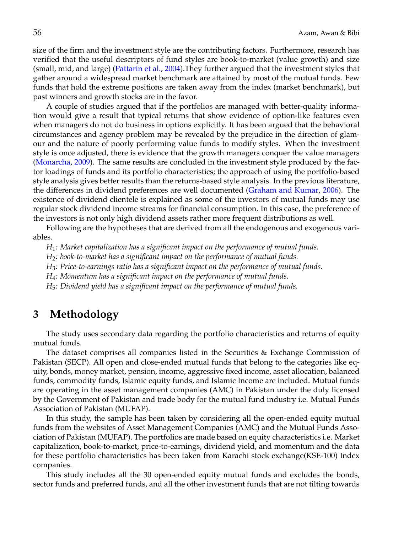size of the firm and the investment style are the contributing factors. Furthermore, research has verified that the useful descriptors of fund styles are book-to-market (value growth) and size (small, mid, and large) [\(Pattarin et al.,](#page-18-16) [2004\)](#page-18-16).They further argued that the investment styles that gather around a widespread market benchmark are attained by most of the mutual funds. Few funds that hold the extreme positions are taken away from the index (market benchmark), but past winners and growth stocks are in the favor.

A couple of studies argued that if the portfolios are managed with better-quality information would give a result that typical returns that show evidence of option-like features even when managers do not do business in options explicitly. It has been argued that the behavioral circumstances and agency problem may be revealed by the prejudice in the direction of glamour and the nature of poorly performing value funds to modify styles. When the investment style is once adjusted, there is evidence that the growth managers conquer the value managers [\(Monarcha,](#page-18-17) [2009\)](#page-18-17). The same results are concluded in the investment style produced by the factor loadings of funds and its portfolio characteristics; the approach of using the portfolio-based style analysis gives better results than the returns-based style analysis. In the previous literature, the differences in dividend preferences are well documented [\(Graham and Kumar,](#page-17-22) [2006\)](#page-17-22). The existence of dividend clientele is explained as some of the investors of mutual funds may use regular stock dividend income streams for financial consumption. In this case, the preference of the investors is not only high dividend assets rather more frequent distributions as well.

Following are the hypotheses that are derived from all the endogenous and exogenous variables.

*H*1*: Market capitalization has a significant impact on the performance of mutual funds.*

*H*2*: book-to-market has a significant impact on the performance of mutual funds.*

*H*3*: Price-to-earnings ratio has a significant impact on the performance of mutual funds.*

*H*4*: Momentum has a significant impact on the performance of mutual funds.*

*H*5*: Dividend yield has a significant impact on the performance of mutual funds.*

## **3 Methodology**

The study uses secondary data regarding the portfolio characteristics and returns of equity mutual funds.

The dataset comprises all companies listed in the Securities & Exchange Commission of Pakistan (SECP). All open and close-ended mutual funds that belong to the categories like equity, bonds, money market, pension, income, aggressive fixed income, asset allocation, balanced funds, commodity funds, Islamic equity funds, and Islamic Income are included. Mutual funds are operating in the asset management companies (AMC) in Pakistan under the duly licensed by the Government of Pakistan and trade body for the mutual fund industry i.e. Mutual Funds Association of Pakistan (MUFAP).

In this study, the sample has been taken by considering all the open-ended equity mutual funds from the websites of Asset Management Companies (AMC) and the Mutual Funds Association of Pakistan (MUFAP). The portfolios are made based on equity characteristics i.e. Market capitalization, book-to-market, price-to-earnings, dividend yield, and momentum and the data for these portfolio characteristics has been taken from Karachi stock exchange(KSE-100) Index companies.

This study includes all the 30 open-ended equity mutual funds and excludes the bonds, sector funds and preferred funds, and all the other investment funds that are not tilting towards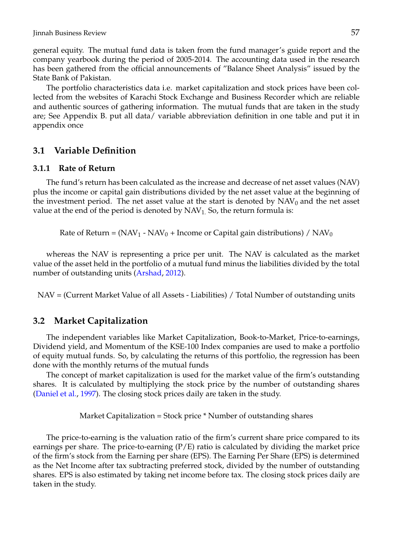general equity. The mutual fund data is taken from the fund manager's guide report and the company yearbook during the period of 2005-2014. The accounting data used in the research has been gathered from the official announcements of "Balance Sheet Analysis" issued by the State Bank of Pakistan.

The portfolio characteristics data i.e. market capitalization and stock prices have been collected from the websites of Karachi Stock Exchange and Business Recorder which are reliable and authentic sources of gathering information. The mutual funds that are taken in the study are; See Appendix B. put all data/ variable abbreviation definition in one table and put it in appendix once

#### **3.1 Variable Definition**

#### **3.1.1 Rate of Return**

The fund's return has been calculated as the increase and decrease of net asset values (NAV) plus the income or capital gain distributions divided by the net asset value at the beginning of the investment period. The net asset value at the start is denoted by  $NAV_0$  and the net asset value at the end of the period is denoted by  $NAV<sub>1</sub>$ . So, the return formula is:

Rate of Return =  $(NAV_1 - NAV_0 + Income$  or Capital gain distributions) /  $NAV_0$ 

whereas the NAV is representing a price per unit. The NAV is calculated as the market value of the asset held in the portfolio of a mutual fund minus the liabilities divided by the total number of outstanding units [\(Arshad,](#page-16-4) [2012\)](#page-16-4).

NAV = (Current Market Value of all Assets - Liabilities) / Total Number of outstanding units

#### **3.2 Market Capitalization**

The independent variables like Market Capitalization, Book-to-Market, Price-to-earnings, Dividend yield, and Momentum of the KSE-100 Index companies are used to make a portfolio of equity mutual funds. So, by calculating the returns of this portfolio, the regression has been done with the monthly returns of the mutual funds

The concept of market capitalization is used for the market value of the firm's outstanding shares. It is calculated by multiplying the stock price by the number of outstanding shares [\(Daniel et al.,](#page-17-17) [1997\)](#page-17-17). The closing stock prices daily are taken in the study.

Market Capitalization = Stock price \* Number of outstanding shares

The price-to-earning is the valuation ratio of the firm's current share price compared to its earnings per share. The price-to-earning  $(P/E)$  ratio is calculated by dividing the market price of the firm's stock from the Earning per share (EPS). The Earning Per Share (EPS) is determined as the Net Income after tax subtracting preferred stock, divided by the number of outstanding shares. EPS is also estimated by taking net income before tax. The closing stock prices daily are taken in the study.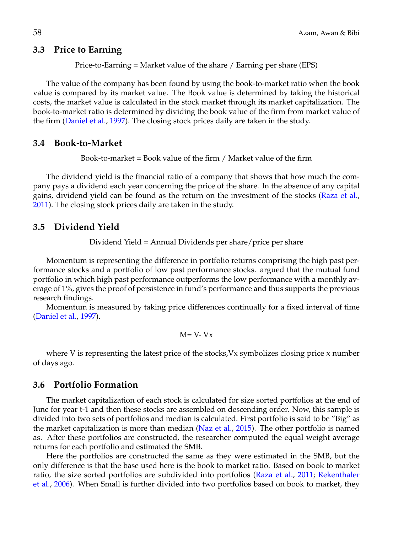#### **3.3 Price to Earning**

Price-to-Earning = Market value of the share / Earning per share (EPS)

The value of the company has been found by using the book-to-market ratio when the book value is compared by its market value. The Book value is determined by taking the historical costs, the market value is calculated in the stock market through its market capitalization. The book-to-market ratio is determined by dividing the book value of the firm from market value of the firm [\(Daniel et al.,](#page-17-17) [1997\)](#page-17-17). The closing stock prices daily are taken in the study.

#### **3.4 Book-to-Market**

Book-to-market = Book value of the firm / Market value of the firm

The dividend yield is the financial ratio of a company that shows that how much the company pays a dividend each year concerning the price of the share. In the absence of any capital gains, dividend yield can be found as the return on the investment of the stocks [\(Raza et al.,](#page-18-18) [2011\)](#page-18-18). The closing stock prices daily are taken in the study.

#### **3.5 Dividend Yield**

Dividend Yield = Annual Dividends per share/price per share

Momentum is representing the difference in portfolio returns comprising the high past performance stocks and a portfolio of low past performance stocks. argued that the mutual fund portfolio in which high past performance outperforms the low performance with a monthly average of 1%, gives the proof of persistence in fund's performance and thus supports the previous research findings.

Momentum is measured by taking price differences continually for a fixed interval of time [\(Daniel et al.,](#page-17-17) [1997\)](#page-17-17).

$$
M = V - Vx
$$

where V is representing the latest price of the stocks, Vx symbolizes closing price x number of days ago.

#### **3.6 Portfolio Formation**

The market capitalization of each stock is calculated for size sorted portfolios at the end of June for year t-1 and then these stocks are assembled on descending order. Now, this sample is divided into two sets of portfolios and median is calculated. First portfolio is said to be "Big" as the market capitalization is more than median [\(Naz et al.,](#page-18-19) [2015\)](#page-18-19). The other portfolio is named as. After these portfolios are constructed, the researcher computed the equal weight average returns for each portfolio and estimated the SMB.

Here the portfolios are constructed the same as they were estimated in the SMB, but the only difference is that the base used here is the book to market ratio. Based on book to market ratio, the size sorted portfolios are subdivided into portfolios [\(Raza et al.,](#page-18-18) [2011;](#page-18-18) [Rekenthaler](#page-18-20) [et al.,](#page-18-20) [2006\)](#page-18-20). When Small is further divided into two portfolios based on book to market, they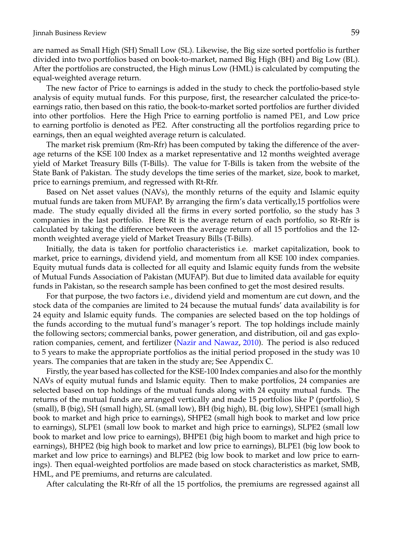are named as Small High (SH) Small Low (SL). Likewise, the Big size sorted portfolio is further divided into two portfolios based on book-to-market, named Big High (BH) and Big Low (BL). After the portfolios are constructed, the High minus Low (HML) is calculated by computing the equal-weighted average return.

The new factor of Price to earnings is added in the study to check the portfolio-based style analysis of equity mutual funds. For this purpose, first, the researcher calculated the price-toearnings ratio, then based on this ratio, the book-to-market sorted portfolios are further divided into other portfolios. Here the High Price to earning portfolio is named PE1, and Low price to earning portfolio is denoted as PE2. After constructing all the portfolios regarding price to earnings, then an equal weighted average return is calculated.

The market risk premium (Rm-Rfr) has been computed by taking the difference of the average returns of the KSE 100 Index as a market representative and 12 months weighted average yield of Market Treasury Bills (T-Bills). The value for T-Bills is taken from the website of the State Bank of Pakistan. The study develops the time series of the market, size, book to market, price to earnings premium, and regressed with Rt-Rfr.

Based on Net asset values (NAVs), the monthly returns of the equity and Islamic equity mutual funds are taken from MUFAP. By arranging the firm's data vertically,15 portfolios were made. The study equally divided all the firms in every sorted portfolio, so the study has 3 companies in the last portfolio. Here Rt is the average return of each portfolio, so Rt-Rfr is calculated by taking the difference between the average return of all 15 portfolios and the 12 month weighted average yield of Market Treasury Bills (T-Bills).

Initially, the data is taken for portfolio characteristics i.e. market capitalization, book to market, price to earnings, dividend yield, and momentum from all KSE 100 index companies. Equity mutual funds data is collected for all equity and Islamic equity funds from the website of Mutual Funds Association of Pakistan (MUFAP). But due to limited data available for equity funds in Pakistan, so the research sample has been confined to get the most desired results.

For that purpose, the two factors i.e., dividend yield and momentum are cut down, and the stock data of the companies are limited to 24 because the mutual funds' data availability is for 24 equity and Islamic equity funds. The companies are selected based on the top holdings of the funds according to the mutual fund's manager's report. The top holdings include mainly the following sectors; commercial banks, power generation, and distribution, oil and gas exploration companies, cement, and fertilizer [\(Nazir and Nawaz,](#page-18-21) [2010\)](#page-18-21). The period is also reduced to 5 years to make the appropriate portfolios as the initial period proposed in the study was 10 years. The companies that are taken in the study are; See Appendix C.

Firstly, the year based has collected for the KSE-100 Index companies and also for the monthly NAVs of equity mutual funds and Islamic equity. Then to make portfolios, 24 companies are selected based on top holdings of the mutual funds along with 24 equity mutual funds. The returns of the mutual funds are arranged vertically and made 15 portfolios like P (portfolio), S (small), B (big), SH (small high), SL (small low), BH (big high), BL (big low), SHPE1 (small high book to market and high price to earnings), SHPE2 (small high book to market and low price to earnings), SLPE1 (small low book to market and high price to earnings), SLPE2 (small low book to market and low price to earnings), BHPE1 (big high boom to market and high price to earnings), BHPE2 (big high book to market and low price to earnings), BLPE1 (big low book to market and low price to earnings) and BLPE2 (big low book to market and low price to earnings). Then equal-weighted portfolios are made based on stock characteristics as market, SMB, HML, and PE premiums, and returns are calculated.

After calculating the Rt-Rfr of all the 15 portfolios, the premiums are regressed against all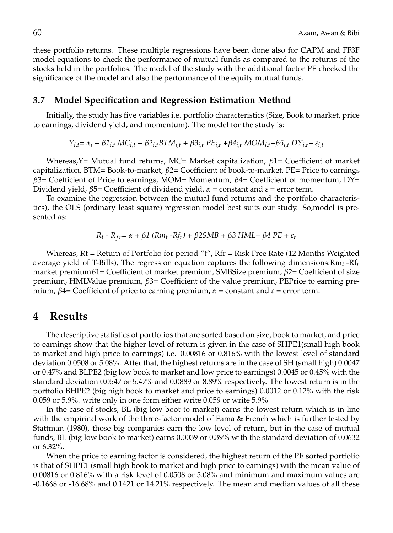these portfolio returns. These multiple regressions have been done also for CAPM and FF3F model equations to check the performance of mutual funds as compared to the returns of the stocks held in the portfolios. The model of the study with the additional factor PE checked the significance of the model and also the performance of the equity mutual funds.

#### **3.7 Model Specification and Regression Estimation Method**

Initially, the study has five variables i.e. portfolio characteristics (Size, Book to market, price to earnings, dividend yield, and momentum). The model for the study is:

$$
Y_{i,t} = \alpha_i + \beta 1_{i,t} MC_{i,t} + \beta 2_{i,t} BTM_{i,t} + \beta 3_{i,t} PE_{i,t} + \beta 4_{i,t} MOM_{i,t} + \beta 5_{i,t} DY_{i,t} + \varepsilon_{i,t}
$$

Whereas,Y= Mutual fund returns, MC= Market capitalization, *β*1= Coefficient of market capitalization, BTM= Book-to-market, *β*2= Coefficient of book-to-market, PE= Price to earnings *β*3= Coefficient of Price to earnings, MOM= Momentum, *β*4= Coefficient of momentum, DY= Dividend yield, *β*5= Coefficient of dividend yield, *α* = constant and *ε* = error term.

To examine the regression between the mutual fund returns and the portfolio characteristics), the OLS (ordinary least square) regression model best suits our study. So,model is presented as:

*R*<sub>t</sub> - R<sub>fr</sub>= α + β1 (Rm<sub>t</sub> -Rf<sub>r</sub>) + β2SMB + β3 HML+ β4 PE + ε<sub>t</sub>

Whereas, Rt = Return of Portfolio for period "t", Rfr = Risk Free Rate (12 Months Weighted average yield of T-Bills), The regression equation captures the following dimensions:Rm*t* -Rf*r* market premium*β*1= Coefficient of market premium, SMBSize premium, *β*2= Coefficient of size premium, HMLValue premium, *β*3= Coefficient of the value premium, PEPrice to earning premium,  $\beta$ 4= Coefficient of price to earning premium,  $\alpha$  = constant and  $\epsilon$  = error term.

## **4 Results**

The descriptive statistics of portfolios that are sorted based on size, book to market, and price to earnings show that the higher level of return is given in the case of SHPE1(small high book to market and high price to earnings) i.e. 0.00816 or 0.816% with the lowest level of standard deviation 0.0508 or 5.08%. After that, the highest returns are in the case of SH (small high) 0.0047 or 0.47% and BLPE2 (big low book to market and low price to earnings) 0.0045 or 0.45% with the standard deviation 0.0547 or 5.47% and 0.0889 or 8.89% respectively. The lowest return is in the portfolio BHPE2 (big high book to market and price to earnings) 0.0012 or 0.12% with the risk 0.059 or 5.9%. write only in one form either write 0.059 or write 5.9%

In the case of stocks, BL (big low boot to market) earns the lowest return which is in line with the empirical work of the three-factor model of Fama & French which is further tested by Stattman (1980), those big companies earn the low level of return, but in the case of mutual funds, BL (big low book to market) earns 0.0039 or 0.39% with the standard deviation of 0.0632 or 6.32%.

When the price to earning factor is considered, the highest return of the PE sorted portfolio is that of SHPE1 (small high book to market and high price to earnings) with the mean value of 0.00816 or 0.816% with a risk level of 0.0508 or 5.08% and minimum and maximum values are -0.1668 or -16.68% and 0.1421 or 14.21% respectively. The mean and median values of all these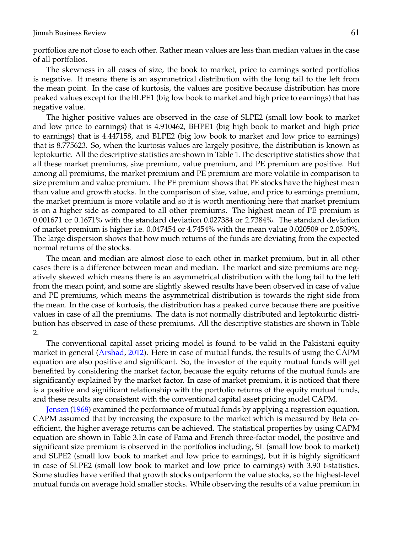portfolios are not close to each other. Rather mean values are less than median values in the case of all portfolios.

The skewness in all cases of size, the book to market, price to earnings sorted portfolios is negative. It means there is an asymmetrical distribution with the long tail to the left from the mean point. In the case of kurtosis, the values are positive because distribution has more peaked values except for the BLPE1 (big low book to market and high price to earnings) that has negative value.

The higher positive values are observed in the case of SLPE2 (small low book to market and low price to earnings) that is 4.910462, BHPE1 (big high book to market and high price to earnings) that is 4.447158, and BLPE2 (big low book to market and low price to earnings) that is 8.775623. So, when the kurtosis values are largely positive, the distribution is known as leptokurtic. All the descriptive statistics are shown in Table 1.The descriptive statistics show that all these market premiums, size premium, value premium, and PE premium are positive. But among all premiums, the market premium and PE premium are more volatile in comparison to size premium and value premium. The PE premium shows that PE stocks have the highest mean than value and growth stocks. In the comparison of size, value, and price to earnings premium, the market premium is more volatile and so it is worth mentioning here that market premium is on a higher side as compared to all other premiums. The highest mean of PE premium is 0.001671 or 0.1671% with the standard deviation 0.027384 or 2.7384%. The standard deviation of market premium is higher i.e. 0.047454 or 4.7454% with the mean value 0.020509 or 2.0509%. The large dispersion shows that how much returns of the funds are deviating from the expected normal returns of the stocks.

The mean and median are almost close to each other in market premium, but in all other cases there is a difference between mean and median. The market and size premiums are negatively skewed which means there is an asymmetrical distribution with the long tail to the left from the mean point, and some are slightly skewed results have been observed in case of value and PE premiums, which means the asymmetrical distribution is towards the right side from the mean. In the case of kurtosis, the distribution has a peaked curve because there are positive values in case of all the premiums. The data is not normally distributed and leptokurtic distribution has observed in case of these premiums. All the descriptive statistics are shown in Table 2.

The conventional capital asset pricing model is found to be valid in the Pakistani equity market in general [\(Arshad,](#page-16-4) [2012\)](#page-16-4). Here in case of mutual funds, the results of using the CAPM equation are also positive and significant. So, the investor of the equity mutual funds will get benefited by considering the market factor, because the equity returns of the mutual funds are significantly explained by the market factor. In case of market premium, it is noticed that there is a positive and significant relationship with the portfolio returns of the equity mutual funds, and these results are consistent with the conventional capital asset pricing model CAPM.

[Jensen](#page-18-12) [\(1968\)](#page-18-12) examined the performance of mutual funds by applying a regression equation. CAPM assumed that by increasing the exposure to the market which is measured by Beta coefficient, the higher average returns can be achieved. The statistical properties by using CAPM equation are shown in Table 3.In case of Fama and French three-factor model, the positive and significant size premium is observed in the portfolios including, SL (small low book to market) and SLPE2 (small low book to market and low price to earnings), but it is highly significant in case of SLPE2 (small low book to market and low price to earnings) with 3.90 t-statistics. Some studies have verified that growth stocks outperform the value stocks, so the highest-level mutual funds on average hold smaller stocks. While observing the results of a value premium in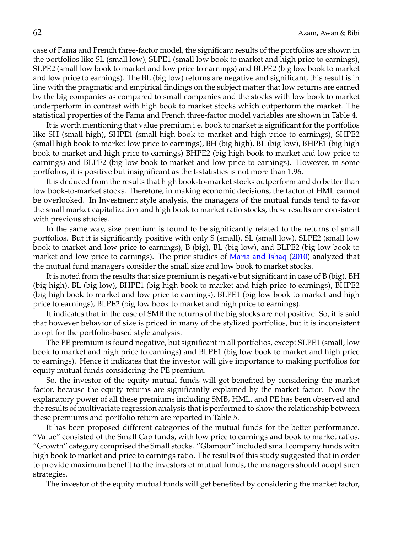case of Fama and French three-factor model, the significant results of the portfolios are shown in the portfolios like SL (small low), SLPE1 (small low book to market and high price to earnings), SLPE2 (small low book to market and low price to earnings) and BLPE2 (big low book to market and low price to earnings). The BL (big low) returns are negative and significant, this result is in line with the pragmatic and empirical findings on the subject matter that low returns are earned by the big companies as compared to small companies and the stocks with low book to market underperform in contrast with high book to market stocks which outperform the market. The statistical properties of the Fama and French three-factor model variables are shown in Table 4.

It is worth mentioning that value premium i.e. book to market is significant for the portfolios like SH (small high), SHPE1 (small high book to market and high price to earnings), SHPE2 (small high book to market low price to earnings), BH (big high), BL (big low), BHPE1 (big high book to market and high price to earnings) BHPE2 (big high book to market and low price to earnings) and BLPE2 (big low book to market and low price to earnings). However, in some portfolios, it is positive but insignificant as the t-statistics is not more than 1.96.

It is deduced from the results that high book-to-market stocks outperform and do better than low book-to-market stocks. Therefore, in making economic decisions, the factor of HML cannot be overlooked. In Investment style analysis, the managers of the mutual funds tend to favor the small market capitalization and high book to market ratio stocks, these results are consistent with previous studies.

In the same way, size premium is found to be significantly related to the returns of small portfolios. But it is significantly positive with only S (small), SL (small low), SLPE2 (small low book to market and low price to earnings), B (big), BL (big low), and BLPE2 (big low book to market and low price to earnings). The prior studies of [Maria and Ishaq](#page-18-22) [\(2010\)](#page-18-22) analyzed that the mutual fund managers consider the small size and low book to market stocks.

It is noted from the results that size premium is negative but significant in case of B (big), BH (big high), BL (big low), BHPE1 (big high book to market and high price to earnings), BHPE2 (big high book to market and low price to earnings), BLPE1 (big low book to market and high price to earnings), BLPE2 (big low book to market and high price to earnings).

It indicates that in the case of SMB the returns of the big stocks are not positive. So, it is said that however behavior of size is priced in many of the stylized portfolios, but it is inconsistent to opt for the portfolio-based style analysis.

The PE premium is found negative, but significant in all portfolios, except SLPE1 (small, low book to market and high price to earnings) and BLPE1 (big low book to market and high price to earnings). Hence it indicates that the investor will give importance to making portfolios for equity mutual funds considering the PE premium.

So, the investor of the equity mutual funds will get benefited by considering the market factor, because the equity returns are significantly explained by the market factor. Now the explanatory power of all these premiums including SMB, HML, and PE has been observed and the results of multivariate regression analysis that is performed to show the relationship between these premiums and portfolio return are reported in Table 5.

It has been proposed different categories of the mutual funds for the better performance. "Value" consisted of the Small Cap funds, with low price to earnings and book to market ratios. "Growth" category comprised the Small stocks. "Glamour" included small company funds with high book to market and price to earnings ratio. The results of this study suggested that in order to provide maximum benefit to the investors of mutual funds, the managers should adopt such strategies.

The investor of the equity mutual funds will get benefited by considering the market factor,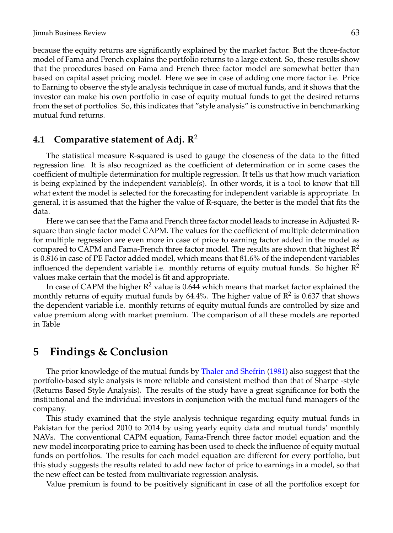because the equity returns are significantly explained by the market factor. But the three-factor model of Fama and French explains the portfolio returns to a large extent. So, these results show that the procedures based on Fama and French three factor model are somewhat better than based on capital asset pricing model. Here we see in case of adding one more factor i.e. Price to Earning to observe the style analysis technique in case of mutual funds, and it shows that the investor can make his own portfolio in case of equity mutual funds to get the desired returns from the set of portfolios. So, this indicates that "style analysis" is constructive in benchmarking mutual fund returns.

## **4.1 Comparative statement of Adj. R**<sup>2</sup>

The statistical measure R-squared is used to gauge the closeness of the data to the fitted regression line. It is also recognized as the coefficient of determination or in some cases the coefficient of multiple determination for multiple regression. It tells us that how much variation is being explained by the independent variable(s). In other words, it is a tool to know that till what extent the model is selected for the forecasting for independent variable is appropriate. In general, it is assumed that the higher the value of R-square, the better is the model that fits the data.

Here we can see that the Fama and French three factor model leads to increase in Adjusted Rsquare than single factor model CAPM. The values for the coefficient of multiple determination for multiple regression are even more in case of price to earning factor added in the model as compared to CAPM and Fama-French three factor model. The results are shown that highest  $R^2$ is 0.816 in case of PE Factor added model, which means that 81.6% of the independent variables influenced the dependent variable i.e. monthly returns of equity mutual funds. So higher  $\mathbb{R}^2$ values make certain that the model is fit and appropriate.

In case of CAPM the higher  $R^2$  value is 0.644 which means that market factor explained the monthly returns of equity mutual funds by 64.4%. The higher value of  $\mathbb{R}^2$  is 0.637 that shows the dependent variable i.e. monthly returns of equity mutual funds are controlled by size and value premium along with market premium. The comparison of all these models are reported in Table

## **5 Findings & Conclusion**

The prior knowledge of the mutual funds by [Thaler and Shefrin](#page-19-4) [\(1981\)](#page-19-4) also suggest that the portfolio-based style analysis is more reliable and consistent method than that of Sharpe -style (Returns Based Style Analysis). The results of the study have a great significance for both the institutional and the individual investors in conjunction with the mutual fund managers of the company.

This study examined that the style analysis technique regarding equity mutual funds in Pakistan for the period 2010 to 2014 by using yearly equity data and mutual funds' monthly NAVs. The conventional CAPM equation, Fama-French three factor model equation and the new model incorporating price to earning has been used to check the influence of equity mutual funds on portfolios. The results for each model equation are different for every portfolio, but this study suggests the results related to add new factor of price to earnings in a model, so that the new effect can be tested from multivariate regression analysis.

Value premium is found to be positively significant in case of all the portfolios except for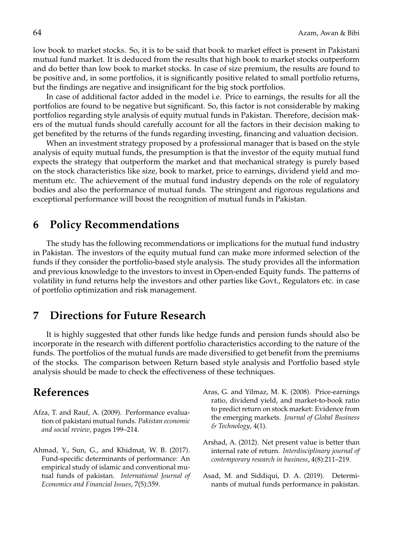low book to market stocks. So, it is to be said that book to market effect is present in Pakistani mutual fund market. It is deduced from the results that high book to market stocks outperform and do better than low book to market stocks. In case of size premium, the results are found to be positive and, in some portfolios, it is significantly positive related to small portfolio returns, but the findings are negative and insignificant for the big stock portfolios.

In case of additional factor added in the model i.e. Price to earnings, the results for all the portfolios are found to be negative but significant. So, this factor is not considerable by making portfolios regarding style analysis of equity mutual funds in Pakistan. Therefore, decision makers of the mutual funds should carefully account for all the factors in their decision making to get benefited by the returns of the funds regarding investing, financing and valuation decision.

When an investment strategy proposed by a professional manager that is based on the style analysis of equity mutual funds, the presumption is that the investor of the equity mutual fund expects the strategy that outperform the market and that mechanical strategy is purely based on the stock characteristics like size, book to market, price to earnings, dividend yield and momentum etc. The achievement of the mutual fund industry depends on the role of regulatory bodies and also the performance of mutual funds. The stringent and rigorous regulations and exceptional performance will boost the recognition of mutual funds in Pakistan.

## **6 Policy Recommendations**

The study has the following recommendations or implications for the mutual fund industry in Pakistan. The investors of the equity mutual fund can make more informed selection of the funds if they consider the portfolio-based style analysis. The study provides all the information and previous knowledge to the investors to invest in Open-ended Equity funds. The patterns of volatility in fund returns help the investors and other parties like Govt., Regulators etc. in case of portfolio optimization and risk management.

## **7 Directions for Future Research**

It is highly suggested that other funds like hedge funds and pension funds should also be incorporate in the research with different portfolio characteristics according to the nature of the funds. The portfolios of the mutual funds are made diversified to get benefit from the premiums of the stocks. The comparison between Return based style analysis and Portfolio based style analysis should be made to check the effectiveness of these techniques.

## **References**

- <span id="page-16-1"></span>Afza, T. and Rauf, A. (2009). Performance evaluation of pakistani mutual funds. *Pakistan economic and social review*, pages 199–214.
- <span id="page-16-2"></span>Ahmad, Y., Sun, G., and Khidmat, W. B. (2017). Fund-specific determinants of performance: An empirical study of islamic and conventional mutual funds of pakistan. *International Journal of Economics and Financial Issues*, 7(5):359.
- <span id="page-16-0"></span>Aras, G. and Yilmaz, M. K. (2008). Price-earnings ratio, dividend yield, and market-to-book ratio to predict return on stock market: Evidence from the emerging markets. *Journal of Global Business & Technology*, 4(1).
- <span id="page-16-4"></span>Arshad, A. (2012). Net present value is better than internal rate of return. *Interdisciplinary journal of contemporary research in business*, 4(8):211–219.
- <span id="page-16-3"></span>Asad, M. and Siddiqui, D. A. (2019). Determinants of mutual funds performance in pakistan.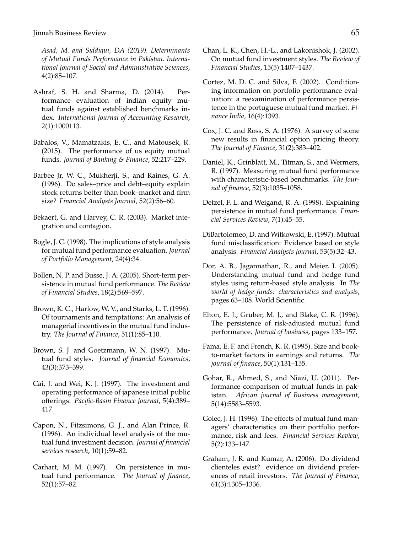*Asad, M. and Siddiqui, DA (2019). Determinants of Mutual Funds Performance in Pakistan. International Journal of Social and Administrative Sciences*, 4(2):85–107.

- <span id="page-17-10"></span>Ashraf, S. H. and Sharma, D. (2014). Performance evaluation of indian equity mutual funds against established benchmarks index. *International Journal of Accounting Research*, 2(1):1000113.
- <span id="page-17-3"></span>Babalos, V., Mamatzakis, E. C., and Matousek, R. (2015). The performance of us equity mutual funds. *Journal of Banking & Finance*, 52:217–229.
- <span id="page-17-0"></span>Barbee Jr, W. C., Mukherji, S., and Raines, G. A. (1996). Do sales–price and debt–equity explain stock returns better than book–market and firm size? *Financial Analysts Journal*, 52(2):56–60.
- <span id="page-17-13"></span>Bekaert, G. and Harvey, C. R. (2003). Market integration and contagion.
- <span id="page-17-6"></span>Bogle, J. C. (1998). The implications of style analysis for mutual fund performance evaluation. *Journal of Portfolio Management*, 24(4):34.
- <span id="page-17-11"></span>Bollen, N. P. and Busse, J. A. (2005). Short-term persistence in mutual fund performance. *The Review of Financial Studies*, 18(2):569–597.
- <span id="page-17-14"></span>Brown, K. C., Harlow, W. V., and Starks, L. T. (1996). Of tournaments and temptations: An analysis of managerial incentives in the mutual fund industry. *The Journal of Finance*, 51(1):85–110.
- <span id="page-17-15"></span>Brown, S. J. and Goetzmann, W. N. (1997). Mutual fund styles. *Journal of financial Economics*, 43(3):373–399.
- <span id="page-17-21"></span>Cai, J. and Wei, K. J. (1997). The investment and operating performance of japanese initial public offerings. *Pacific-Basin Finance Journal*, 5(4):389– 417.
- <span id="page-17-4"></span>Capon, N., Fitzsimons, G. J., and Alan Prince, R. (1996). An individual level analysis of the mutual fund investment decision. *Journal of financial services research*, 10(1):59–82.
- <span id="page-17-16"></span>Carhart, M. M. (1997). On persistence in mutual fund performance. *The Journal of finance*, 52(1):57–82.
- <span id="page-17-18"></span>Chan, L. K., Chen, H.-L., and Lakonishok, J. (2002). On mutual fund investment styles. *The Review of Financial Studies*, 15(5):1407–1437.
- <span id="page-17-19"></span>Cortez, M. D. C. and Silva, F. (2002). Conditioning information on portfolio performance evaluation: a reexamination of performance persistence in the portuguese mutual fund market. *Finance India*, 16(4):1393.
- <span id="page-17-5"></span>Cox, J. C. and Ross, S. A. (1976). A survey of some new results in financial option pricing theory. *The Journal of Finance*, 31(2):383–402.
- <span id="page-17-17"></span>Daniel, K., Grinblatt, M., Titman, S., and Wermers, R. (1997). Measuring mutual fund performance with characteristic-based benchmarks. *The Journal of finance*, 52(3):1035–1058.
- <span id="page-17-12"></span>Detzel, F. L. and Weigand, R. A. (1998). Explaining persistence in mutual fund performance. *Financial Services Review*, 7(1):45–55.
- <span id="page-17-1"></span>DiBartolomeo, D. and Witkowski, E. (1997). Mutual fund misclassification: Evidence based on style analysis. *Financial Analysts Journal*, 53(5):32–43.
- <span id="page-17-2"></span>Dor, A. B., Jagannathan, R., and Meier, I. (2005). Understanding mutual fund and hedge fund styles using return-based style analysis. In *The world of hedge funds: characteristics and analysis*, pages 63–108. World Scientific.
- <span id="page-17-20"></span>Elton, E. J., Gruber, M. J., and Blake, C. R. (1996). The persistence of risk-adjusted mutual fund performance. *Journal of business*, pages 133–157.
- <span id="page-17-9"></span>Fama, E. F. and French, K. R. (1995). Size and bookto-market factors in earnings and returns. *The journal of finance*, 50(1):131–155.
- <span id="page-17-7"></span>Gohar, R., Ahmed, S., and Niazi, U. (2011). Performance comparison of mutual funds in pakistan. *African journal of Business management*, 5(14):5583–5593.
- <span id="page-17-8"></span>Golec, J. H. (1996). The effects of mutual fund managers' characteristics on their portfolio performance, risk and fees. *Financial Services Review*, 5(2):133–147.
- <span id="page-17-22"></span>Graham, J. R. and Kumar, A. (2006). Do dividend clienteles exist? evidence on dividend preferences of retail investors. *The Journal of Finance*, 61(3):1305–1336.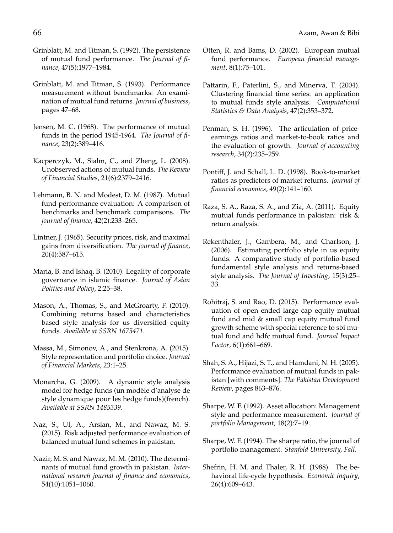- <span id="page-18-13"></span>Grinblatt, M. and Titman, S. (1992). The persistence of mutual fund performance. *The Journal of finance*, 47(5):1977–1984.
- <span id="page-18-14"></span>Grinblatt, M. and Titman, S. (1993). Performance measurement without benchmarks: An examination of mutual fund returns. *Journal of business*, pages 47–68.
- <span id="page-18-12"></span>Jensen, M. C. (1968). The performance of mutual funds in the period 1945-1964. *The Journal of finance*, 23(2):389–416.
- <span id="page-18-6"></span>Kacperczyk, M., Sialm, C., and Zheng, L. (2008). Unobserved actions of mutual funds. *The Review of Financial Studies*, 21(6):2379–2416.
- <span id="page-18-3"></span>Lehmann, B. N. and Modest, D. M. (1987). Mutual fund performance evaluation: A comparison of benchmarks and benchmark comparisons. *The journal of finance*, 42(2):233–265.
- <span id="page-18-4"></span>Lintner, J. (1965). Security prices, risk, and maximal gains from diversification. *The journal of finance*, 20(4):587–615.
- <span id="page-18-22"></span>Maria, B. and Ishaq, B. (2010). Legality of corporate governance in islamic finance. *Journal of Asian Politics and Policy*, 2:25–38.
- <span id="page-18-1"></span>Mason, A., Thomas, S., and McGroarty, F. (2010). Combining returns based and characteristics based style analysis for us diversified equity funds. *Available at SSRN 1675471*.
- <span id="page-18-8"></span>Massa, M., Simonov, A., and Stenkrona, A. (2015). Style representation and portfolio choice. *Journal of Financial Markets*, 23:1–25.
- <span id="page-18-17"></span>Monarcha, G. (2009). A dynamic style analysis model for hedge funds (un modele d'analyse de ` style dynamique pour les hedge funds)(french). *Available at SSRN 1485339*.
- <span id="page-18-19"></span>Naz, S., Ul, A., Arslan, M., and Nawaz, M. S. (2015). Risk adjusted performance evaluation of balanced mutual fund schemes in pakistan.
- <span id="page-18-21"></span>Nazir, M. S. and Nawaz, M. M. (2010). The determinants of mutual fund growth in pakistan. *International research journal of finance and economics*, 54(10):1051–1060.
- <span id="page-18-15"></span>Otten, R. and Bams, D. (2002). European mutual fund performance. *European financial management*, 8(1):75–101.
- <span id="page-18-16"></span>Pattarin, F., Paterlini, S., and Minerva, T. (2004). Clustering financial time series: an application to mutual funds style analysis. *Computational Statistics & Data Analysis*, 47(2):353–372.
- <span id="page-18-5"></span>Penman, S. H. (1996). The articulation of priceearnings ratios and market-to-book ratios and the evaluation of growth. *Journal of accounting research*, 34(2):235–259.
- <span id="page-18-10"></span>Pontiff, J. and Schall, L. D. (1998). Book-to-market ratios as predictors of market returns. *Journal of financial economics*, 49(2):141–160.
- <span id="page-18-18"></span>Raza, S. A., Raza, S. A., and Zia, A. (2011). Equity mutual funds performance in pakistan: risk & return analysis.
- <span id="page-18-20"></span>Rekenthaler, J., Gambera, M., and Charlson, J. (2006). Estimating portfolio style in us equity funds: A comparative study of portfolio-based fundamental style analysis and returns-based style analysis. *The Journal of Investing*, 15(3):25– 33.
- <span id="page-18-7"></span>Rohitraj, S. and Rao, D. (2015). Performance evaluation of open ended large cap equity mutual fund and mid & small cap equity mutual fund growth scheme with special reference to sbi mutual fund and hdfc mutual fund. *Journal Impact Factor*, 6(1):661–669.
- <span id="page-18-0"></span>Shah, S. A., Hijazi, S. T., and Hamdani, N. H. (2005). Performance evaluation of mutual funds in pakistan [with comments]. *The Pakistan Development Review*, pages 863–876.
- <span id="page-18-2"></span>Sharpe, W. F. (1992). Asset allocation: Management style and performance measurement. *Journal of portfolio Management*, 18(2):7–19.
- <span id="page-18-9"></span>Sharpe, W. F. (1994). The sharpe ratio, the journal of portfolio management. *Stanfold University, Fall*.
- <span id="page-18-11"></span>Shefrin, H. M. and Thaler, R. H. (1988). The behavioral life-cycle hypothesis. *Economic inquiry*, 26(4):609–643.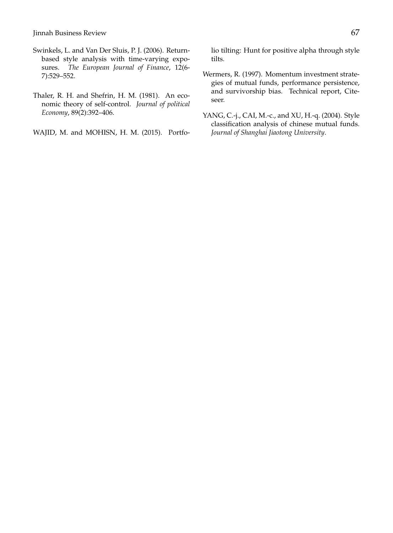Jinnah Business Review 67

- <span id="page-19-1"></span>Swinkels, L. and Van Der Sluis, P. J. (2006). Returnbased style analysis with time-varying exposures. *The European Journal of Finance*, 12(6- 7):529–552.
- <span id="page-19-4"></span>Thaler, R. H. and Shefrin, H. M. (1981). An economic theory of self-control. *Journal of political Economy*, 89(2):392–406.

<span id="page-19-3"></span>WAJID, M. and MOHISN, H. M. (2015). Portfo-

lio tilting: Hunt for positive alpha through style tilts.

- <span id="page-19-0"></span>Wermers, R. (1997). Momentum investment strategies of mutual funds, performance persistence, and survivorship bias. Technical report, Citeseer.
- <span id="page-19-2"></span>YANG, C.-j., CAI, M.-c., and XU, H.-q. (2004). Style classification analysis of chinese mutual funds. *Journal of Shanghai Jiaotong University*.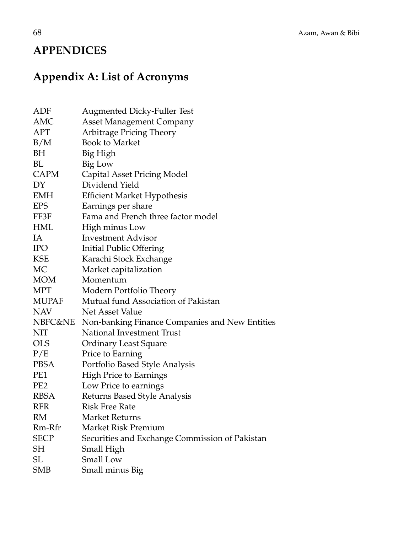## **APPENDICES**

# **Appendix A: List of Acronyms**

| ADF             | <b>Augmented Dicky-Fuller Test</b>             |
|-----------------|------------------------------------------------|
| AMC             | <b>Asset Management Company</b>                |
| APT             | Arbitrage Pricing Theory                       |
| B/M             | <b>Book to Market</b>                          |
| BH              | Big High                                       |
| BL              | Big Low                                        |
| <b>CAPM</b>     | Capital Asset Pricing Model                    |
| DY              | Dividend Yield                                 |
| <b>EMH</b>      | <b>Efficient Market Hypothesis</b>             |
| <b>EPS</b>      | Earnings per share                             |
| FF3F            | Fama and French three factor model             |
| HML             | High minus Low                                 |
| IA              | <b>Investment Advisor</b>                      |
| <b>IPO</b>      | <b>Initial Public Offering</b>                 |
| <b>KSE</b>      | Karachi Stock Exchange                         |
| MC              | Market capitalization                          |
| <b>MOM</b>      | Momentum                                       |
| <b>MPT</b>      | Modern Portfolio Theory                        |
| MUPAF           | Mutual fund Association of Pakistan            |
| <b>NAV</b>      | Net Asset Value                                |
| NBFC&NE         | Non-banking Finance Companies and New Entities |
| <b>NIT</b>      | National Investment Trust                      |
| <b>OLS</b>      | <b>Ordinary Least Square</b>                   |
| P/E             | Price to Earning                               |
| <b>PBSA</b>     | Portfolio Based Style Analysis                 |
| PE1             | <b>High Price to Earnings</b>                  |
| PE <sub>2</sub> | Low Price to earnings                          |
| <b>RBSA</b>     | Returns Based Style Analysis                   |
| <b>RFR</b>      | <b>Risk Free Rate</b>                          |
| RM              | Market Returns                                 |
| Rm-Rfr          | Market Risk Premium                            |
| <b>SECP</b>     | Securities and Exchange Commission of Pakistan |
| SH              | Small High                                     |
| <b>SL</b>       | <b>Small Low</b>                               |
| <b>SMB</b>      | Small minus Big                                |
|                 |                                                |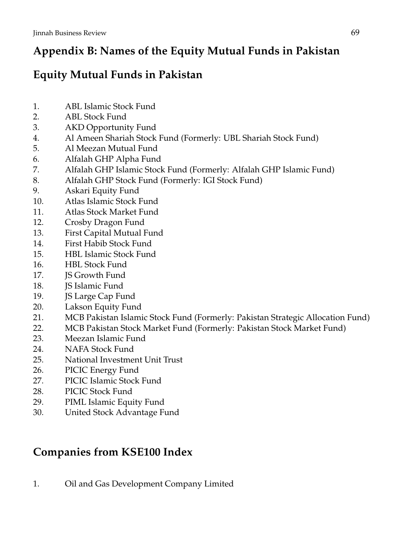# **Appendix B: Names of the Equity Mutual Funds in Pakistan**

# **Equity Mutual Funds in Pakistan**

- 1. ABL Islamic Stock Fund
- 2. ABL Stock Fund
- 3. AKD Opportunity Fund
- 4. Al Ameen Shariah Stock Fund (Formerly: UBL Shariah Stock Fund)
- 5. Al Meezan Mutual Fund
- 6. Alfalah GHP Alpha Fund
- 7. Alfalah GHP Islamic Stock Fund (Formerly: Alfalah GHP Islamic Fund)
- 8. Alfalah GHP Stock Fund (Formerly: IGI Stock Fund)
- 9. Askari Equity Fund
- 10. Atlas Islamic Stock Fund
- 11. Atlas Stock Market Fund
- 12. Crosby Dragon Fund
- 13. First Capital Mutual Fund
- 14. First Habib Stock Fund
- 15. HBL Islamic Stock Fund
- 16. HBL Stock Fund
- 17. **IS Growth Fund**
- 18. **IS Islamic Fund**
- 19. JS Large Cap Fund
- 20. Lakson Equity Fund
- 21. MCB Pakistan Islamic Stock Fund (Formerly: Pakistan Strategic Allocation Fund)
- 22. MCB Pakistan Stock Market Fund (Formerly: Pakistan Stock Market Fund)
- 23. Meezan Islamic Fund
- 24. NAFA Stock Fund
- 25. National Investment Unit Trust
- 26. PICIC Energy Fund
- 27. PICIC Islamic Stock Fund
- 28. PICIC Stock Fund
- 29. PIML Islamic Equity Fund
- 30. United Stock Advantage Fund

# **Companies from KSE100 Index**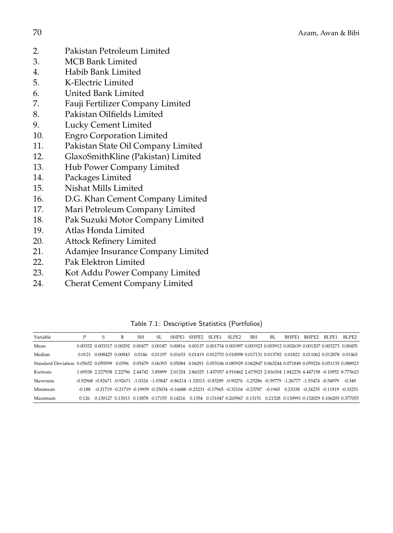- 2. Pakistan Petroleum Limited
- 3. MCB Bank Limited
- 4. Habib Bank Limited
- 5. K-Electric Limited
- 6. United Bank Limited
- 7. Fauji Fertilizer Company Limited
- 8. Pakistan Oilfields Limited<br>9. Lucky Cement Limited
- 9. Lucky Cement Limited
- 10. Engro Corporation Limited
- 11. Pakistan State Oil Company Limited
- 12. GlaxoSmithKline (Pakistan) Limited
- 13. Hub Power Company Limited
- 14. Packages Limited
- 15. Nishat Mills Limited
- 16. D.G. Khan Cement Company Limited
- 17. Mari Petroleum Company Limited
- 18. Pak Suzuki Motor Company Limited
- 19. Atlas Honda Limited
- 20. Attock Refinery Limited
- 21. Adamjee Insurance Company Limited
- 22. Pak Elektron Limited
- 23. Kot Addu Power Company Limited
- 24. Cherat Cement Company Limited

| Variable                            | P      | S                                                                                                                               | В      | SН | SL. | SHPE1 | SHPE <sub>2</sub> | SLPE1 | SLPE <sub>2</sub> | BН | BL.     | BHPE1 | BHPE2                                                                                                | BLPE1 | BLPE2                                                                                                                            |
|-------------------------------------|--------|---------------------------------------------------------------------------------------------------------------------------------|--------|----|-----|-------|-------------------|-------|-------------------|----|---------|-------|------------------------------------------------------------------------------------------------------|-------|----------------------------------------------------------------------------------------------------------------------------------|
| Mean                                |        | 0.00332 0.003317 0.00292 0.00477 0.00187 0.00816 0.00137 0.001734 0.001997 0.001923 0.003912 0.002639 0.001207 0.003273 0.00455 |        |    |     |       |                   |       |                   |    |         |       |                                                                                                      |       |                                                                                                                                  |
| Median                              |        | 0.0121 0.008425 0.00843                                                                                                         |        |    |     |       |                   |       |                   |    |         |       | 0.0146 0.01197 0.01633 0.01419 0.012753 0.010098 0.017131 0.013782 0.01822 0.011062 0.012878 0.01463 |       |                                                                                                                                  |
| Standard Deviation 0.05652 0.059599 |        |                                                                                                                                 | 0.0596 |    |     |       |                   |       |                   |    |         |       |                                                                                                      |       | 0.05479 0.06393 0.05084 0.06291 0.053106 0.085929 0.062847 0.063244 0.071849 0.059226 0.051135 0.088923                          |
| Kurtosis                            |        |                                                                                                                                 |        |    |     |       |                   |       |                   |    |         |       |                                                                                                      |       | 1.69538 2.227958 2.22796 2.44742 3.85899 2.01324 2.86325 1.437057 4.910462 2.673923 2.816304 1.842276 4.447158 -0.10952 8.775623 |
| Skewness                            |        | -0.92968 -0.92671 -0.92671 -1.0324 -1.03847 -0.86214 -1.32013 -0.83289 -0.90276 -1.25286 -0.39779 -1.26777 -1.53474 -0.54979    |        |    |     |       |                   |       |                   |    |         |       |                                                                                                      |       | $-0.349$                                                                                                                         |
| Minimum                             | -0.188 | -0.21719 -0.21719 -0.19959 -0.25034 -0.16688 -0.23231 -0.17965 -0.32104 -0.23787                                                |        |    |     |       |                   |       |                   |    | -0.1965 |       | $0.23338 - 0.24235 - 0.11919 - 0.33251$                                                              |       |                                                                                                                                  |
| Maximum                             | 0.126  | 0.130127 0.13013 0.13878 0.17155 0.14216 0.1354 0.131047 0.265967 0.13151 0.21328 0.130991 0.132029 0.106205 0.377055           |        |    |     |       |                   |       |                   |    |         |       |                                                                                                      |       |                                                                                                                                  |

Table 7.1: Descriptive Statistics (Portfolios)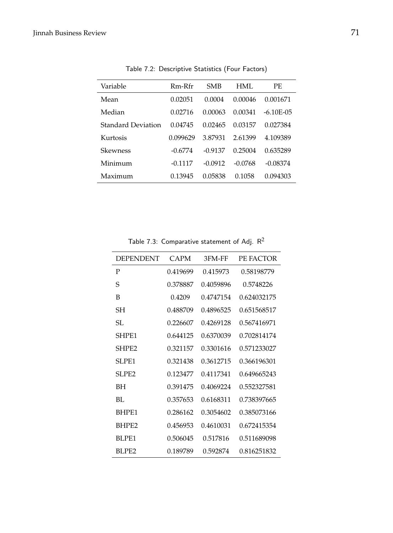| Variable                  | $Rm-Rfr$  | <b>SMB</b> | HML       | PF.            |
|---------------------------|-----------|------------|-----------|----------------|
| Mean                      | 0.02051   | 0.0004     | 0.00046   | 0.001671       |
| Median                    | 0.02716   | 0.00063    | 0.00341   | $-6.10F - 0.5$ |
| <b>Standard Deviation</b> | 0.04745   | 0.02465    | 0.03157   | 0.027384       |
| Kurtosis                  | 0.099629  | 3.87931    | 2.61399   | 4.109389       |
| Skewness                  | $-0.6774$ | $-0.9137$  | 0.25004   | 0.635289       |
| Minimum                   | $-0.1117$ | $-0.0912$  | $-0.0768$ | $-0.08374$     |
| Maximum                   | 0.13945   | 0.05838    | 0.1058    | 0.094303       |

Table 7.2: Descriptive Statistics (Four Factors)

Table 7.3: Comparative statement of Adj.  $R^2$ 

| <b>DEPENDENT</b>  | CAPM     | 3FM-FF    | PE FACTOR   |
|-------------------|----------|-----------|-------------|
| P                 | 0.419699 | 0.415973  | 0.58198779  |
| S                 | 0.378887 | 0.4059896 | 0.5748226   |
| В                 | 0.4209   | 0.4747154 | 0.624032175 |
| SН                | 0.488709 | 0.4896525 | 0.651568517 |
| SL.               | 0.226607 | 0.4269128 | 0.567416971 |
| SHPE1             | 0.644125 | 0.6370039 | 0.702814174 |
| SHPE <sub>2</sub> | 0.321157 | 0.3301616 | 0.571233027 |
| SLPE1             | 0.321438 | 0.3612715 | 0.366196301 |
| SLPE <sub>2</sub> | 0.123477 | 0.4117341 | 0.649665243 |
| BН                | 0.391475 | 0.4069224 | 0.552327581 |
| BL.               | 0.357653 | 0.6168311 | 0.738397665 |
| BHPE1             | 0.286162 | 0.3054602 | 0.385073166 |
| BHPE2             | 0.456953 | 0.4610031 | 0.672415354 |
| BLPE1             | 0.506045 | 0.517816  | 0.511689098 |
| BLPE2             | 0.189789 | 0.592874  | 0.816251832 |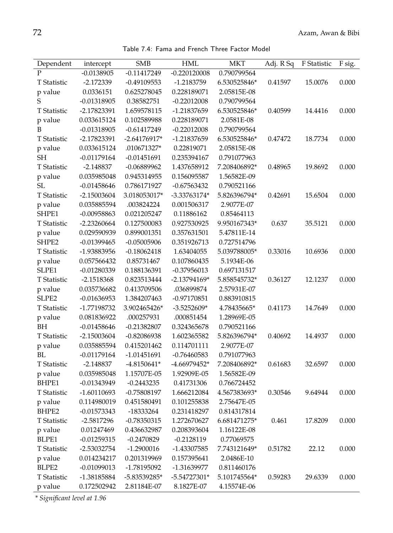Table 7.4: Fama and French Three Factor Model

| Dependent         | intercept     | <b>SMB</b>     | <b>HML</b>     | <b>MKT</b>   | Adj. R Sq | F Statistic | F sig. |
|-------------------|---------------|----------------|----------------|--------------|-----------|-------------|--------|
| P                 | $-0.0138905$  | $-0.11417249$  | $-0.220120008$ | 0.790799564  |           |             |        |
| T Statistic       | $-2.172339$   | $-0.49109553$  | -1.2183759     | 6.530525846* | 0.41597   | 15.0076     | 0.000  |
| p value           | 0.0336151     | 0.625278045    | 0.228189071    | 2.05815E-08  |           |             |        |
| S                 | $-0.01318905$ | 0.38582751     | $-0.22012008$  | 0.790799564  |           |             |        |
| T Statistic       | -2.17823391   | 1.659578115    | -1.21837659    | 6.530525846* | 0.40599   | 14.4416     | 0.000  |
| p value           | 0.033615124   | 0.102589988    | 0.228189071    | 2.0581E-08   |           |             |        |
| B                 | $-0.01318905$ | $-0.61417249$  | $-0.22012008$  | 0.790799564  |           |             |        |
| T Statistic       | -2.17823391   | $-2.64176917*$ | $-1.21837659$  | 6.530525846* | 0.47472   | 18.7734     | 0.000  |
| p value           | 0.033615124   | .010671327*    | 0.22819071     | 2.05815E-08  |           |             |        |
| <b>SH</b>         | $-0.01179164$ | $-0.01451691$  | 0.235394167    | 0.791077963  |           |             |        |
| T Statistic       | $-2.148837$   | $-0.06889962$  | 1.437658912    | 7.208406892* | 0.48965   | 19.8692     | 0.000  |
| p value           | 0.035985048   | 0.945314955    | 0.156095587    | 1.56582E-09  |           |             |        |
| SL                | $-0.01458646$ | 0.786171927    | $-0.67563432$  | 0.790521166  |           |             |        |
| T Statistic       | $-2.15003604$ | 3.018053017*   | -3.33763174*   | 5.826396794* | 0.42691   | 15.6504     | 0.000  |
| p value           | 0.035885594   | .003824224     | 0.001506317    | 2.9077E-07   |           |             |        |
| SHPE1             | $-0.00958863$ | 0.021205247    | 0.11886162     | 0.85464113   |           |             |        |
| T Statistic       | $-2.23260664$ | 0.127500083    | 0.927530925    | 9.950167343* | 0.637     | 35.5121     | 0.000  |
| p value           | 0.029590939   | 0.899001351    | 0.357631501    | 5.47811E-14  |           |             |        |
| SHPE2             | $-0.01399465$ | $-0.05005906$  | 0.351926713    | 0.727514796  |           |             |        |
| T Statistic       | -1.93883956   | $-0.18062418$  | 1.63404055     | 5.039788005* | 0.33016   | 10.6936     | 0.000  |
| p value           | 0.057566432   | 0.85731467     | 0.107860435    | 5.1934E-06   |           |             |        |
| SLPE1             | $-0.01280339$ | 0.188136391    | $-0.37956013$  | 0.697131517  |           |             |        |
| T Statistic       | $-2.1518368$  | 0.823513444    | $-2.13794169*$ | 5.858545732* | 0.36127   | 12.1237     | 0.000  |
| p value           | 0.035736682   | 0.413709506    | .036899874     | 2.57931E-07  |           |             |        |
| SLPE <sub>2</sub> | $-0.01636953$ | 1.384207463    | $-0.97170851$  | 0.883910815  |           |             |        |
| T Statistic       | -1.77198732   | 3.902465426*   | $-3.5252609*$  | 4.78435665*  | 0.41173   | 14.7649     | 0.000  |
| p value           | 0.081836922   | .000257931     | .000851454     | 1.28969E-05  |           |             |        |
| BH                | $-0.01458646$ | $-0.21382807$  | 0.324365678    | 0.790521166  |           |             |        |
| T Statistic       | $-2.15003604$ | $-0.82086938$  | 1.602365582    | 5.826396794* | 0.40692   | 14.4937     | 0.000  |
| p value           | 0.035885594   | 0.415201462    | 0.114701111    | 2.9077E-07   |           |             |        |
| <b>BL</b>         | $-0.01179164$ | $-1.01451691$  | $-0.76460583$  | 0.791077963  |           |             |        |
| T Statistic       | $-2.148837$   | $-4.8150641*$  | $-4.66979452*$ | 7.208406892* | 0.61683   | 32.6597     | 0.000  |
| p value           | 0.035985048   | 1.15707E-05    | 1.92909E-05    | 1.56582E-09  |           |             |        |
| BHPE1             | $-0.01343949$ | $-0.2443235$   | 0.41731306     | 0.766724452  |           |             |        |
| T Statistic       | $-1.60110693$ | $-0.75808197$  | 1.666212084    | 4.567383693* | 0.30546   | 9.64944     | 0.000  |
| p value           | 0.114980019   | 0.451580491    | 0.101255838    | 2.75647E-05  |           |             |        |
| BHPE2             | $-0.01573343$ | $-18333264$    | 0.231418297    | 0.814317814  |           |             |        |
| T Statistic       | $-2.5817296$  | $-0.78350315$  | 1.272670627    | 6.681471275* | 0.461     | 17.8209     | 0.000  |
| p value           | 0.01247469    | 0.436632987    | 0.208393604    | 1.16122E-08  |           |             |        |
| BLPE1             | $-0.01259315$ | $-0.2470829$   | $-0.2128119$   | 0.77069575   |           |             |        |
| T Statistic       | -2.53032754   | $-1.2900016$   | -1.43307585    | 7.743121649* | 0.51782   | 22.12       | 0.000  |
| p value           | 0.014234217   | 0.201319969    | 0.157395641    | 2.0486E-10   |           |             |        |
| BLPE2             | $-0.01099013$ | -1.78195092    | $-1.31639977$  | 0.811460176  |           |             |        |
| T Statistic       | -1.38185884   | -5.83539285*   | $-5.54727301*$ | 5.101745564* | 0.59283   | 29.6339     | 0.000  |
| p value           | 0.172502942   | 2.81184E-07    | 8.1827E-07     | 4.15574E-06  |           |             |        |

*\* Significant level at 1.96*